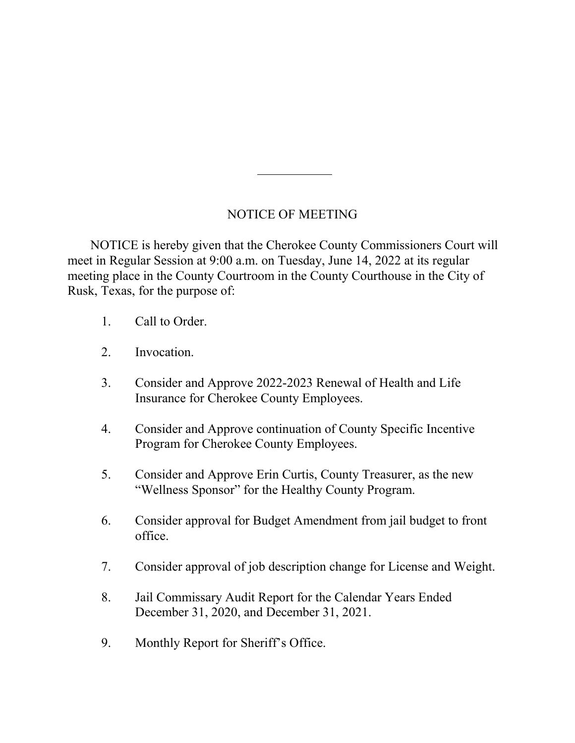## NOTICE OF MEETING

 NOTICE is hereby given that the Cherokee County Commissioners Court will meet in Regular Session at 9:00 a.m. on Tuesday, June 14, 2022 at its regular meeting place in the County Courtroom in the County Courthouse in the City of Rusk, Texas, for the purpose of:

- 1. Call to Order.
- 2. Invocation.
- 3. Consider and Approve 2022-2023 Renewal of Health and Life Insurance for Cherokee County Employees.
- 4. Consider and Approve continuation of County Specific Incentive Program for Cherokee County Employees.
- 5. Consider and Approve Erin Curtis, County Treasurer, as the new "Wellness Sponsor" for the Healthy County Program.
- 6. Consider approval for Budget Amendment from jail budget to front office.
- 7. Consider approval of job description change for License and Weight.
- 8. Jail Commissary Audit Report for the Calendar Years Ended December 31, 2020, and December 31, 2021.
- 9. Monthly Report for Sheriff's Office.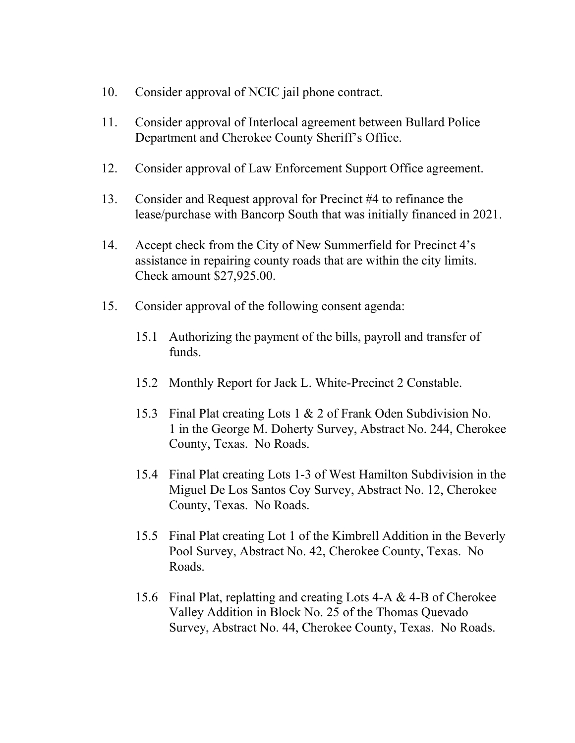- 10. Consider approval of NCIC jail phone contract.
- 11. Consider approval of Interlocal agreement between Bullard Police Department and Cherokee County Sheriff's Office.
- 12. Consider approval of Law Enforcement Support Office agreement.
- 13. Consider and Request approval for Precinct #4 to refinance the lease/purchase with Bancorp South that was initially financed in 2021.
- 14. Accept check from the City of New Summerfield for Precinct 4's assistance in repairing county roads that are within the city limits. Check amount \$27,925.00.
- 15. Consider approval of the following consent agenda:
	- 15.1 Authorizing the payment of the bills, payroll and transfer of funds.
	- 15.2 Monthly Report for Jack L. White-Precinct 2 Constable.
	- 15.3 Final Plat creating Lots 1 & 2 of Frank Oden Subdivision No. 1 in the George M. Doherty Survey, Abstract No. 244, Cherokee County, Texas. No Roads.
	- 15.4 Final Plat creating Lots 1-3 of West Hamilton Subdivision in the Miguel De Los Santos Coy Survey, Abstract No. 12, Cherokee County, Texas. No Roads.
	- 15.5 Final Plat creating Lot 1 of the Kimbrell Addition in the Beverly Pool Survey, Abstract No. 42, Cherokee County, Texas. No Roads.
	- 15.6 Final Plat, replatting and creating Lots 4-A & 4-B of Cherokee Valley Addition in Block No. 25 of the Thomas Quevado Survey, Abstract No. 44, Cherokee County, Texas. No Roads.